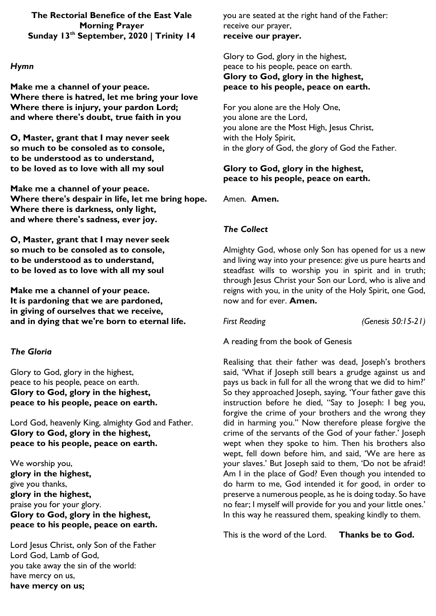**The Rectorial Benefice of the East Vale Morning Prayer Sunday 13 th September, 2020 | Trinity 14**

## *Hymn*

**Make me a channel of your peace. Where there is hatred, let me bring your love Where there is injury, your pardon Lord; and where there's doubt, true faith in you**

**O, Master, grant that I may never seek so much to be consoled as to console, to be understood as to understand, to be loved as to love with all my soul**

**Make me a channel of your peace. Where there's despair in life, let me bring hope. Where there is darkness, only light, and where there's sadness, ever joy.**

**O, Master, grant that I may never seek so much to be consoled as to console, to be understood as to understand, to be loved as to love with all my soul**

**Make me a channel of your peace. It is pardoning that we are pardoned, in giving of ourselves that we receive, and in dying that we're born to eternal life.**

# *The Gloria*

Glory to God, glory in the highest, peace to his people, peace on earth. **Glory to God, glory in the highest, peace to his people, peace on earth.**

Lord God, heavenly King, almighty God and Father. **Glory to God, glory in the highest, peace to his people, peace on earth.**

We worship you, **glory in the highest,** give you thanks, **glory in the highest,** praise you for your glory. **Glory to God, glory in the highest, peace to his people, peace on earth.**

Lord Jesus Christ, only Son of the Father Lord God, Lamb of God, you take away the sin of the world: have mercy on us, **have mercy on us;**

you are seated at the right hand of the Father: receive our prayer, **receive our prayer.**

Glory to God, glory in the highest, peace to his people, peace on earth. **Glory to God, glory in the highest, peace to his people, peace on earth.**

For you alone are the Holy One, you alone are the Lord, you alone are the Most High, Jesus Christ, with the Holy Spirit, in the glory of God, the glory of God the Father.

# **Glory to God, glory in the highest, peace to his people, peace on earth.**

Amen. **Amen.**

# *The Collect*

Almighty God, whose only Son has opened for us a new and living way into your presence: give us pure hearts and steadfast wills to worship you in spirit and in truth; through Jesus Christ your Son our Lord, who is alive and reigns with you, in the unity of the Holy Spirit, one God, now and for ever. **Amen.**

*First Reading (Genesis 50:15-21)*

A reading from the book of Genesis

Realising that their father was dead, Joseph's brothers said, 'What if Joseph still bears a grudge against us and pays us back in full for all the wrong that we did to him?' So they approached Joseph, saying, 'Your father gave this instruction before he died, "Say to Joseph: I beg you, forgive the crime of your brothers and the wrong they did in harming you." Now therefore please forgive the crime of the servants of the God of your father.' Joseph wept when they spoke to him. Then his brothers also wept, fell down before him, and said, 'We are here as your slaves.' But Joseph said to them, 'Do not be afraid! Am I in the place of God? Even though you intended to do harm to me, God intended it for good, in order to preserve a numerous people, as he is doing today. So have no fear; I myself will provide for you and your little ones.' In this way he reassured them, speaking kindly to them.

This is the word of the Lord. **Thanks be to God.**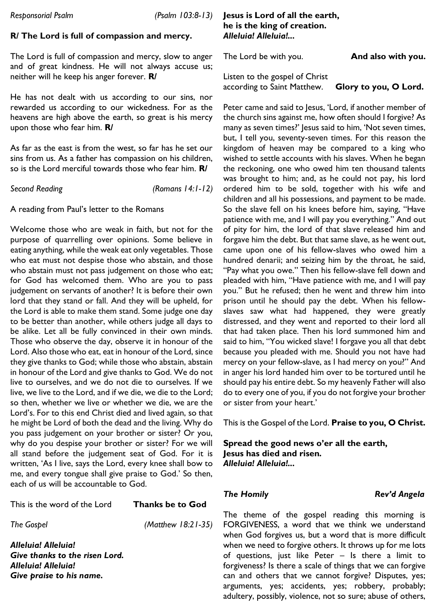## **R/ The Lord is full of compassion and mercy.**

The Lord is full of compassion and mercy, slow to anger and of great kindness. He will not always accuse us; neither will he keep his anger forever. **R/**

He has not dealt with us according to our sins, nor rewarded us according to our wickedness. For as the heavens are high above the earth, so great is his mercy upon those who fear him. **R/**

As far as the east is from the west, so far has he set our sins from us. As a father has compassion on his children, so is the Lord merciful towards those who fear him. **R/**

*Second Reading (Romans 14:1-12)*

A reading from Paul's letter to the Romans

Welcome those who are weak in faith, but not for the purpose of quarrelling over opinions. Some believe in eating anything, while the weak eat only vegetables. Those who eat must not despise those who abstain, and those who abstain must not pass judgement on those who eat; for God has welcomed them. Who are you to pass judgement on servants of another? It is before their own lord that they stand or fall. And they will be upheld, for the Lord is able to make them stand. Some judge one day to be better than another, while others judge all days to be alike. Let all be fully convinced in their own minds. Those who observe the day, observe it in honour of the Lord. Also those who eat, eat in honour of the Lord, since they give thanks to God; while those who abstain, abstain in honour of the Lord and give thanks to God. We do not live to ourselves, and we do not die to ourselves. If we live, we live to the Lord, and if we die, we die to the Lord; so then, whether we live or whether we die, we are the Lord's. For to this end Christ died and lived again, so that he might be Lord of both the dead and the living. Why do you pass judgement on your brother or sister? Or you, why do you despise your brother or sister? For we will all stand before the judgement seat of God. For it is written, 'As I live, says the Lord, every knee shall bow to me, and every tongue shall give praise to God.' So then, each of us will be accountable to God.

This is the word of the Lord **Thanks be to God**

*The Gospel (Matthew 18:21-35)*

*Alleluia! Alleluia! Give thanks to the risen Lord. Alleluia! Alleluia! Give praise to his name.*

### **Jesus is Lord of all the earth, he is the king of creation.**  *Alleluia! Alleluia!...*

The Lord be with you. **And also with you.**

Listen to the gospel of Christ according to Saint Matthew. **Glory to you, O Lord.**

Peter came and said to Jesus, 'Lord, if another member of the church sins against me, how often should I forgive? As many as seven times?' Jesus said to him, 'Not seven times, but, I tell you, seventy-seven times. For this reason the kingdom of heaven may be compared to a king who wished to settle accounts with his slaves. When he began the reckoning, one who owed him ten thousand talents was brought to him; and, as he could not pay, his lord ordered him to be sold, together with his wife and children and all his possessions, and payment to be made. So the slave fell on his knees before him, saying, "Have patience with me, and I will pay you everything." And out of pity for him, the lord of that slave released him and forgave him the debt. But that same slave, as he went out, came upon one of his fellow-slaves who owed him a hundred denarii; and seizing him by the throat, he said, "Pay what you owe." Then his fellow-slave fell down and pleaded with him, "Have patience with me, and I will pay you." But he refused; then he went and threw him into prison until he should pay the debt. When his fellowslaves saw what had happened, they were greatly distressed, and they went and reported to their lord all that had taken place. Then his lord summoned him and said to him, "You wicked slave! I forgave you all that debt because you pleaded with me. Should you not have had mercy on your fellow-slave, as I had mercy on you?" And in anger his lord handed him over to be tortured until he should pay his entire debt. So my heavenly Father will also do to every one of you, if you do not forgive your brother or sister from your heart.'

This is the Gospel of the Lord. **Praise to you, O Christ.**

**Spread the good news o'er all the earth, Jesus has died and risen.**  *Alleluia! Alleluia!...* 

*The Homily Rev'd Angela*

The theme of the gospel reading this morning is FORGIVENESS, a word that we think we understand when God forgives us, but a word that is more difficult when we need to forgive others. It throws up for me lots of questions, just like Peter – Is there a limit to forgiveness? Is there a scale of things that we can forgive can and others that we cannot forgive? Disputes, yes; arguments, yes; accidents, yes; robbery, probably; adultery, possibly, violence, not so sure; abuse of others,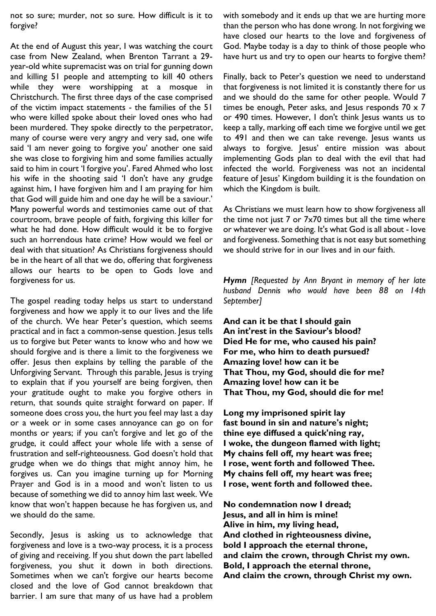not so sure; murder, not so sure. How difficult is it to forgive?

At the end of August this year, I was watching the court case from New Zealand, when Brenton Tarrant a 29 year-old white supremacist was on trial for gunning down and killing 51 people and attempting to kill 40 others while they were worshipping at a mosque in Christchurch. The first three days of the case comprised of the victim impact statements - the families of the 51 who were killed spoke about their loved ones who had been murdered. They spoke directly to the perpetrator, many of course were very angry and very sad, one wife said 'I am never going to forgive you' another one said she was close to forgiving him and some families actually said to him in court 'I forgive you'. Fared Ahmed who lost his wife in the shooting said 'I don't have any grudge against him, I have forgiven him and I am praying for him that God will guide him and one day he will be a saviour.' Many powerful words and testimonies came out of that courtroom, brave people of faith, forgiving this killer for what he had done. How difficult would it be to forgive such an horrendous hate crime? How would we feel or deal with that situation? As Christians forgiveness should be in the heart of all that we do, offering that forgiveness allows our hearts to be open to Gods love and forgiveness for us.

The gospel reading today helps us start to understand forgiveness and how we apply it to our lives and the life of the church. We hear Peter's question, which seems practical and in fact a common-sense question. Jesus tells us to forgive but Peter wants to know who and how we should forgive and is there a limit to the forgiveness we offer. Jesus then explains by telling the parable of the Unforgiving Servant. Through this parable, Jesus is trying to explain that if you yourself are being forgiven, then your gratitude ought to make you forgive others in return, that sounds quite straight forward on paper. If someone does cross you, the hurt you feel may last a day or a week or in some cases annoyance can go on for months or years; if you can't forgive and let go of the grudge, it could affect your whole life with a sense of frustration and self-righteousness. God doesn't hold that grudge when we do things that might annoy him, he forgives us. Can you imagine turning up for Morning Prayer and God is in a mood and won't listen to us because of something we did to annoy him last week. We know that won't happen because he has forgiven us, and we should do the same.

Secondly, Jesus is asking us to acknowledge that forgiveness and love is a two-way process, it is a process of giving and receiving. If you shut down the part labelled forgiveness, you shut it down in both directions. Sometimes when we can't forgive our hearts become closed and the love of God cannot breakdown that barrier. I am sure that many of us have had a problem

with somebody and it ends up that we are hurting more than the person who has done wrong. In not forgiving we have closed our hearts to the love and forgiveness of God. Maybe today is a day to think of those people who have hurt us and try to open our hearts to forgive them?

Finally, back to Peter's question we need to understand that forgiveness is not limited it is constantly there for us and we should do the same for other people. Would 7 times be enough, Peter asks, and Jesus responds  $70 \times 7$ or 490 times. However, I don't think Jesus wants us to keep a tally, marking off each time we forgive until we get to 491 and then we can take revenge. Jesus wants us always to forgive. Jesus' entire mission was about implementing Gods plan to deal with the evil that had infected the world. Forgiveness was not an incidental feature of Jesus' Kingdom building it is the foundation on which the Kingdom is built.

As Christians we must learn how to show forgiveness all the time not just  $7$  or  $7\times70$  times but all the time where or whatever we are doing. It's what God is all about - love and forgiveness. Something that is not easy but something we should strive for in our lives and in our faith.

*Hymn [Requested by Ann Bryant in memory of her late husband Dennis who would have been 88 on 14th September]*

**And can it be that I should gain An int'rest in the Saviour's blood? Died He for me, who caused his pain? For me, who him to death pursued? Amazing love! how can it be That Thou, my God, should die for me? Amazing love! how can it be That Thou, my God, should die for me!**

**Long my imprisoned spirit lay fast bound in sin and nature's night; thine eye diffused a quick'ning ray, I woke, the dungeon flamed with light; My chains fell off, my heart was free; I rose, went forth and followed Thee. My chains fell off, my heart was free; I rose, went forth and followed thee.**

**No condemnation now I dread; Jesus, and all in him is mine! Alive in him, my living head, And clothed in righteousness divine, bold I approach the eternal throne, and claim the crown, through Christ my own. Bold, I approach the eternal throne, And claim the crown, through Christ my own.**